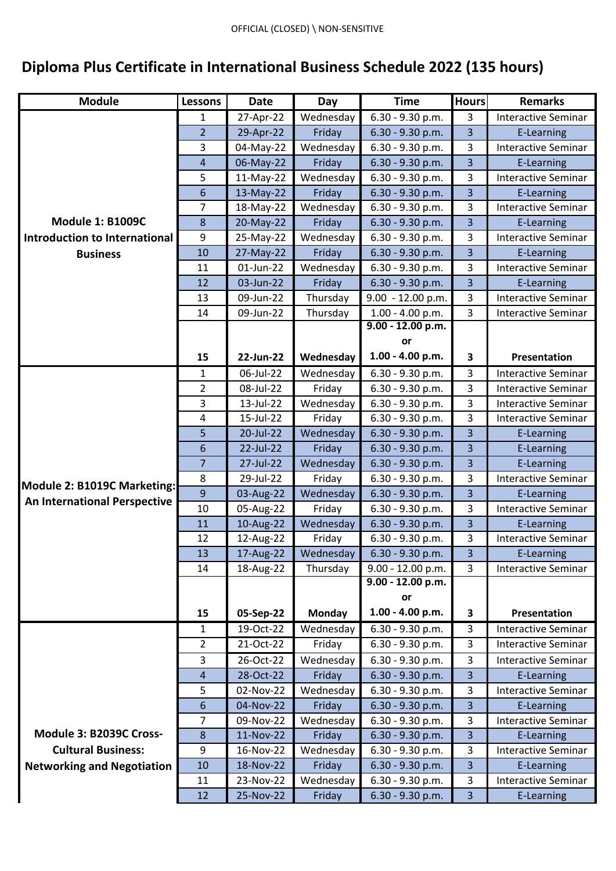## **Diploma Plus Certificate in International Business Schedule 2022 (135 hours)**

| <b>Module</b>                       | <b>Lessons</b> | <b>Date</b> | Day                 | <b>Time</b>         | <b>Hours</b>            | <b>Remarks</b>             |
|-------------------------------------|----------------|-------------|---------------------|---------------------|-------------------------|----------------------------|
|                                     | 1              | 27-Apr-22   | Wednesday           | $6.30 - 9.30$ p.m.  | 3                       | <b>Interactive Seminar</b> |
|                                     | $\overline{2}$ | 29-Apr-22   | Friday              | 6.30 - 9.30 p.m.    | 3                       | <b>E-Learning</b>          |
|                                     | 3              | 04-May-22   | Wednesday           | $6.30 - 9.30$ p.m.  | 3                       | <b>Interactive Seminar</b> |
|                                     | 4              | 06-May-22   | Friday              | 6.30 - 9.30 p.m.    | $\overline{\mathbf{3}}$ | E-Learning                 |
|                                     | 5              | 11-May-22   | Wednesday           | 6.30 - 9.30 p.m.    | 3                       | <b>Interactive Seminar</b> |
|                                     | 6              | 13-May-22   | Friday              | 6.30 - 9.30 p.m.    | 3                       | E-Learning                 |
|                                     | 7              | 18-May-22   | Wednesday           | $6.30 - 9.30$ p.m.  | 3                       | <b>Interactive Seminar</b> |
| <b>Module 1: B1009C</b>             | 8              | 20-May-22   | Friday              | $6.30 - 9.30$ p.m.  | 3                       | E-Learning                 |
| Introduction to International       | 9              | 25-May-22   | Wednesday           | 6.30 - 9.30 p.m.    | 3                       | <b>Interactive Seminar</b> |
| <b>Business</b>                     | 10             | 27-May-22   | Friday              | 6.30 - 9.30 p.m.    | 3                       | E-Learning                 |
|                                     | 11             | 01-Jun-22   | Wednesday           | 6.30 - 9.30 p.m.    | 3                       | <b>Interactive Seminar</b> |
|                                     | 12             | 03-Jun-22   | Friday              | $6.30 - 9.30$ p.m.  | 3                       | E-Learning                 |
|                                     | 13             | 09-Jun-22   | Thursday            | 9.00 - 12.00 p.m.   | 3                       | <b>Interactive Seminar</b> |
|                                     | 14             | 09-Jun-22   | Thursday            | $1.00 - 4.00$ p.m.  | 3                       | <b>Interactive Seminar</b> |
|                                     |                |             |                     | $9.00 - 12.00$ p.m. |                         |                            |
|                                     |                |             |                     | or                  |                         |                            |
|                                     | 15             | 22-Jun-22   | Wednesday           | 1.00 - 4.00 p.m.    | 3                       | Presentation               |
|                                     | 1              | 06-Jul-22   | Wednesday           | 6.30 - 9.30 p.m.    | 3                       | <b>Interactive Seminar</b> |
|                                     | $\overline{2}$ | 08-Jul-22   | Friday              | 6.30 - 9.30 p.m.    | 3                       | <b>Interactive Seminar</b> |
|                                     | 3              | 13-Jul-22   | Wednesday           | 6.30 - 9.30 p.m.    | 3                       | <b>Interactive Seminar</b> |
|                                     | 4              | 15-Jul-22   | Friday              | 6.30 - 9.30 p.m.    | 3                       | <b>Interactive Seminar</b> |
|                                     | 5              | 20-Jul-22   | Wednesday           | 6.30 - 9.30 p.m.    | 3                       | E-Learning                 |
|                                     | 6              | 22-Jul-22   | Friday              | 6.30 - 9.30 p.m.    | 3                       | E-Learning                 |
|                                     | 7              | 27-Jul-22   | Wednesday           | $6.30 - 9.30$ p.m.  | 3                       | <b>E-Learning</b>          |
| Module 2: B1019C Marketing:         | $\,8\,$        | 29-Jul-22   | Friday              | 6.30 - 9.30 p.m.    | 3                       | <b>Interactive Seminar</b> |
| <b>An International Perspective</b> | 9              | 03-Aug-22   | Wednesday           | 6.30 - 9.30 p.m.    | 3                       | E-Learning                 |
|                                     | 10             | 05-Aug-22   | Friday              | 6.30 - 9.30 p.m.    | 3                       | <b>Interactive Seminar</b> |
|                                     | 11             | 10-Aug-22   | Wednesday           | 6.30 - 9.30 p.m.    | 3                       | E-Learning                 |
|                                     | 12             | 12-Aug-22   | Friday              | 6.30 - 9.30 p.m.    | 3                       | <b>Interactive Seminar</b> |
|                                     | 13             |             | 17-Aug-22 Wednesday | 6.30 - 9.30 p.m.    | 3                       | E-Learning                 |
|                                     | 14             | 18-Aug-22   | Thursday            | $9.00 - 12.00$ p.m. | 3                       | <b>Interactive Seminar</b> |
|                                     |                |             |                     | $9.00 - 12.00$ p.m. |                         |                            |
|                                     |                |             |                     | or                  |                         |                            |
|                                     | 15             | 05-Sep-22   | <b>Monday</b>       | 1.00 - 4.00 p.m.    | 3                       | Presentation               |
|                                     | 1              | 19-Oct-22   | Wednesday           | $6.30 - 9.30$ p.m.  | 3                       | <b>Interactive Seminar</b> |
|                                     | $\overline{2}$ | 21-Oct-22   | Friday              | 6.30 - 9.30 p.m.    | 3                       | <b>Interactive Seminar</b> |
|                                     | 3              | 26-Oct-22   | Wednesday           | 6.30 - 9.30 p.m.    | 3                       | <b>Interactive Seminar</b> |
|                                     | 4              | 28-Oct-22   | Friday              | 6.30 - 9.30 p.m.    | 3                       | E-Learning                 |
|                                     | 5              | 02-Nov-22   | Wednesday           | 6.30 - 9.30 p.m.    | 3                       | <b>Interactive Seminar</b> |
|                                     | 6              | 04-Nov-22   | Friday              | $6.30 - 9.30$ p.m.  | 3                       | E-Learning                 |
|                                     | 7              | 09-Nov-22   | Wednesday           | $6.30 - 9.30$ p.m.  | 3                       | <b>Interactive Seminar</b> |
| Module 3: B2039C Cross-             | 8              | 11-Nov-22   | Friday              | $6.30 - 9.30$ p.m.  | 3                       | E-Learning                 |
| <b>Cultural Business:</b>           | 9              | 16-Nov-22   | Wednesday           | 6.30 - 9.30 p.m.    | 3                       | <b>Interactive Seminar</b> |
| <b>Networking and Negotiation</b>   | 10             | 18-Nov-22   | Friday              | $6.30 - 9.30$ p.m.  | 3                       | E-Learning                 |
|                                     | 11             | 23-Nov-22   | Wednesday           | 6.30 - 9.30 p.m.    | 3                       | <b>Interactive Seminar</b> |
|                                     | 12             | 25-Nov-22   | Friday              | 6.30 - 9.30 p.m.    | 3                       | E-Learning                 |